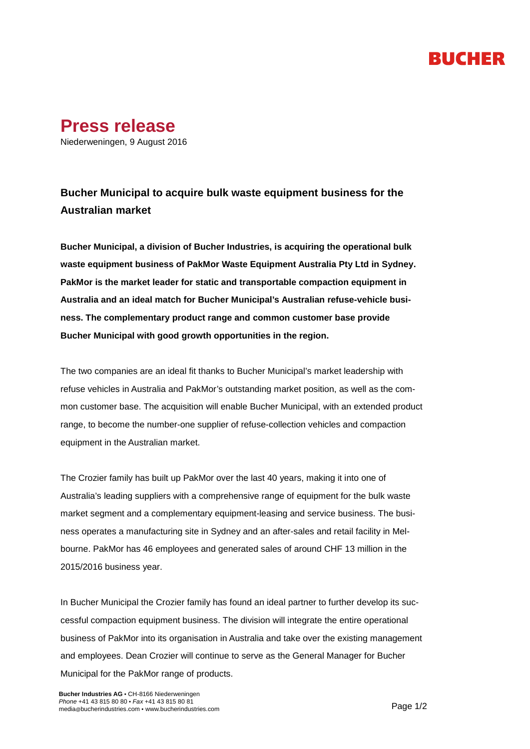## RUCHER



Niederweningen, 9 August 2016

## **Bucher Municipal to acquire bulk waste equipment business for the Australian market**

**Bucher Municipal, a division of Bucher Industries, is acquiring the operational bulk waste equipment business of PakMor Waste Equipment Australia Pty Ltd in Sydney. PakMor is the market leader for static and transportable compaction equipment in Australia and an ideal match for Bucher Municipal's Australian refuse-vehicle business. The complementary product range and common customer base provide Bucher Municipal with good growth opportunities in the region.** 

The two companies are an ideal fit thanks to Bucher Municipal's market leadership with refuse vehicles in Australia and PakMor's outstanding market position, as well as the common customer base. The acquisition will enable Bucher Municipal, with an extended product range, to become the number-one supplier of refuse-collection vehicles and compaction equipment in the Australian market.

The Crozier family has built up PakMor over the last 40 years, making it into one of Australia's leading suppliers with a comprehensive range of equipment for the bulk waste market segment and a complementary equipment-leasing and service business. The business operates a manufacturing site in Sydney and an after-sales and retail facility in Melbourne. PakMor has 46 employees and generated sales of around CHF 13 million in the 2015/2016 business year.

In Bucher Municipal the Crozier family has found an ideal partner to further develop its successful compaction equipment business. The division will integrate the entire operational business of PakMor into its organisation in Australia and take over the existing management and employees. Dean Crozier will continue to serve as the General Manager for Bucher Municipal for the PakMor range of products.